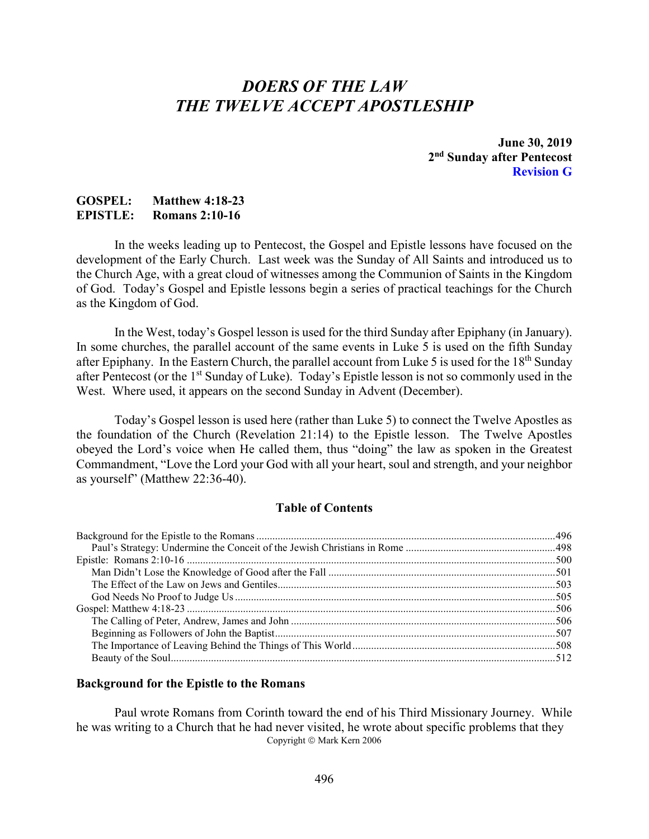# *DOERS OF THE LAW THE TWELVE ACCEPT APOSTLESHIP*

**June 30, 2019 2nd Sunday after Pentecost Revision G**

## **GOSPEL: Matthew 4:18-23 EPISTLE: Romans 2:10-16**

In the weeks leading up to Pentecost, the Gospel and Epistle lessons have focused on the development of the Early Church. Last week was the Sunday of All Saints and introduced us to the Church Age, with a great cloud of witnesses among the Communion of Saints in the Kingdom of God. Today's Gospel and Epistle lessons begin a series of practical teachings for the Church as the Kingdom of God.

In the West, today's Gospel lesson is used for the third Sunday after Epiphany (in January). In some churches, the parallel account of the same events in Luke 5 is used on the fifth Sunday after Epiphany. In the Eastern Church, the parallel account from Luke 5 is used for the 18<sup>th</sup> Sunday after Pentecost (or the 1st Sunday of Luke). Today's Epistle lesson is not so commonly used in the West. Where used, it appears on the second Sunday in Advent (December).

Today's Gospel lesson is used here (rather than Luke 5) to connect the Twelve Apostles as the foundation of the Church (Revelation 21:14) to the Epistle lesson. The Twelve Apostles obeyed the Lord's voice when He called them, thus "doing" the law as spoken in the Greatest Commandment, "Love the Lord your God with all your heart, soul and strength, and your neighbor as yourself" (Matthew 22:36-40).

## **Table of Contents**

## <span id="page-0-0"></span>**Background for the Epistle to the Romans**

Paul wrote Romans from Corinth toward the end of his Third Missionary Journey. While he was writing to a Church that he had never visited, he wrote about specific problems that they Copyright © Mark Kern 2006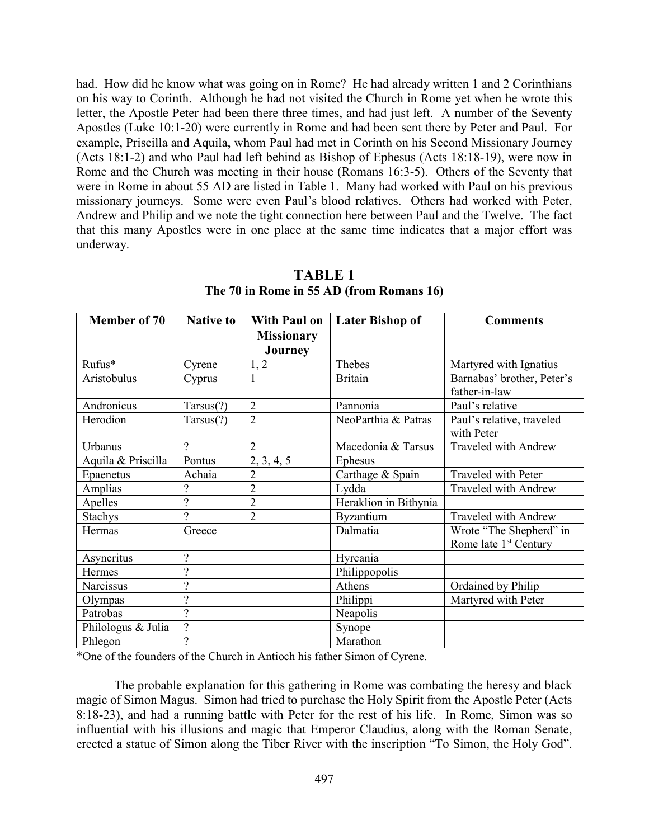had. How did he know what was going on in Rome? He had already written 1 and 2 Corinthians on his way to Corinth. Although he had not visited the Church in Rome yet when he wrote this letter, the Apostle Peter had been there three times, and had just left. A number of the Seventy Apostles (Luke 10:1-20) were currently in Rome and had been sent there by Peter and Paul. For example, Priscilla and Aquila, whom Paul had met in Corinth on his Second Missionary Journey (Acts 18:1-2) and who Paul had left behind as Bishop of Ephesus (Acts 18:18-19), were now in Rome and the Church was meeting in their house (Romans 16:3-5). Others of the Seventy that were in Rome in about 55 AD are listed in Table 1. Many had worked with Paul on his previous missionary journeys. Some were even Paul's blood relatives. Others had worked with Peter, Andrew and Philip and we note the tight connection here between Paul and the Twelve. The fact that this many Apostles were in one place at the same time indicates that a major effort was underway.

| <b>Member of 70</b> | <b>Native to</b>         | <b>With Paul on</b> | <b>Later Bishop of</b> | <b>Comments</b>                   |
|---------------------|--------------------------|---------------------|------------------------|-----------------------------------|
|                     |                          | <b>Missionary</b>   |                        |                                   |
|                     |                          | Journey             |                        |                                   |
| Rufus*              | Cyrene                   | 1, 2                | Thebes                 | Martyred with Ignatius            |
| Aristobulus         | Cyprus                   | 1                   | <b>Britain</b>         | Barnabas' brother, Peter's        |
|                     |                          |                     |                        | father-in-law                     |
| Andronicus          | Tarsus(?)                | $\overline{2}$      | Pannonia               | Paul's relative                   |
| Herodion            | Tarsus(?)                | $\overline{2}$      | NeoParthia & Patras    | Paul's relative, traveled         |
|                     |                          |                     |                        | with Peter                        |
| Urbanus             | $\overline{\cdot}$       | $\overline{2}$      | Macedonia & Tarsus     | Traveled with Andrew              |
| Aquila & Priscilla  | Pontus                   | 2, 3, 4, 5          | Ephesus                |                                   |
| Epaenetus           | Achaia                   | $\overline{2}$      | Carthage & Spain       | Traveled with Peter               |
| Amplias             | $\overline{\cdot}$       | $\overline{2}$      | Lydda                  | Traveled with Andrew              |
| Apelles             | $\overline{?}$           | $\overline{2}$      | Heraklion in Bithynia  |                                   |
| <b>Stachys</b>      | $\gamma$                 | $\overline{2}$      | Byzantium              | Traveled with Andrew              |
| Hermas              | Greece                   |                     | Dalmatia               | Wrote "The Shepherd" in           |
|                     |                          |                     |                        | Rome late 1 <sup>st</sup> Century |
| Asyncritus          | $\overline{\mathcal{L}}$ |                     | Hyrcania               |                                   |
| Hermes              | $\overline{\cdot}$       |                     | Philippopolis          |                                   |
| Narcissus           | $\overline{\cdot}$       |                     | Athens                 | Ordained by Philip                |
| Olympas             | $\overline{\mathcal{L}}$ |                     | Philippi               | Martyred with Peter               |
| Patrobas            | $\overline{\mathcal{L}}$ |                     | Neapolis               |                                   |
| Philologus & Julia  | $\ddot{?}$               |                     | Synope                 |                                   |
| Phlegon             | $\overline{\mathcal{L}}$ |                     | Marathon               |                                   |

**TABLE 1 The 70 in Rome in 55 AD (from Romans 16)**

\*One of the founders of the Church in Antioch his father Simon of Cyrene.

The probable explanation for this gathering in Rome was combating the heresy and black magic of Simon Magus. Simon had tried to purchase the Holy Spirit from the Apostle Peter (Acts 8:18-23), and had a running battle with Peter for the rest of his life. In Rome, Simon was so influential with his illusions and magic that Emperor Claudius, along with the Roman Senate, erected a statue of Simon along the Tiber River with the inscription "To Simon, the Holy God".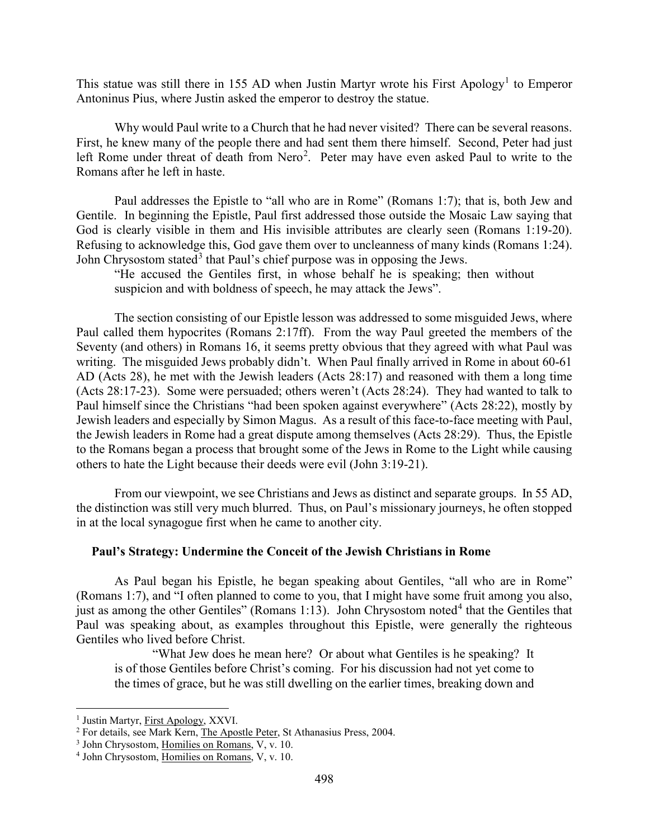This statue was still there in [1](#page-2-1)55 AD when Justin Martyr wrote his First Apology<sup>1</sup> to Emperor Antoninus Pius, where Justin asked the emperor to destroy the statue.

Why would Paul write to a Church that he had never visited? There can be several reasons. First, he knew many of the people there and had sent them there himself. Second, Peter had just left Rome under threat of death from Nero<sup>[2](#page-2-2)</sup>. Peter may have even asked Paul to write to the Romans after he left in haste.

Paul addresses the Epistle to "all who are in Rome" (Romans 1:7); that is, both Jew and Gentile. In beginning the Epistle, Paul first addressed those outside the Mosaic Law saying that God is clearly visible in them and His invisible attributes are clearly seen (Romans 1:19-20). Refusing to acknowledge this, God gave them over to uncleanness of many kinds (Romans 1:24). John Chrysostom stated<sup>[3](#page-2-3)</sup> that Paul's chief purpose was in opposing the Jews.

"He accused the Gentiles first, in whose behalf he is speaking; then without suspicion and with boldness of speech, he may attack the Jews".

The section consisting of our Epistle lesson was addressed to some misguided Jews, where Paul called them hypocrites (Romans 2:17ff). From the way Paul greeted the members of the Seventy (and others) in Romans 16, it seems pretty obvious that they agreed with what Paul was writing. The misguided Jews probably didn't. When Paul finally arrived in Rome in about 60-61 AD (Acts 28), he met with the Jewish leaders (Acts 28:17) and reasoned with them a long time (Acts 28:17-23). Some were persuaded; others weren't (Acts 28:24). They had wanted to talk to Paul himself since the Christians "had been spoken against everywhere" (Acts 28:22), mostly by Jewish leaders and especially by Simon Magus. As a result of this face-to-face meeting with Paul, the Jewish leaders in Rome had a great dispute among themselves (Acts 28:29). Thus, the Epistle to the Romans began a process that brought some of the Jews in Rome to the Light while causing others to hate the Light because their deeds were evil (John 3:19-21).

From our viewpoint, we see Christians and Jews as distinct and separate groups. In 55 AD, the distinction was still very much blurred. Thus, on Paul's missionary journeys, he often stopped in at the local synagogue first when he came to another city.

### <span id="page-2-0"></span>**Paul's Strategy: Undermine the Conceit of the Jewish Christians in Rome**

As Paul began his Epistle, he began speaking about Gentiles, "all who are in Rome" (Romans 1:7), and "I often planned to come to you, that I might have some fruit among you also, just as among the other Gentiles" (Romans 1:13). John Chrysostom noted<sup>[4](#page-2-4)</sup> that the Gentiles that Paul was speaking about, as examples throughout this Epistle, were generally the righteous Gentiles who lived before Christ.

"What Jew does he mean here? Or about what Gentiles is he speaking? It is of those Gentiles before Christ's coming. For his discussion had not yet come to the times of grace, but he was still dwelling on the earlier times, breaking down and

<span id="page-2-2"></span><span id="page-2-1"></span><sup>&</sup>lt;sup>1</sup> Justin Martyr,  $First Apology, XXVI.$ <br><sup>2</sup> For details, see Mark Kern, The Apostle Peter, St Athanasius Press, 2004.</u>

<span id="page-2-3"></span><sup>&</sup>lt;sup>3</sup> John Chrysostom, Homilies on Romans, V, v. 10.

<span id="page-2-4"></span><sup>4</sup> John Chrysostom, Homilies on Romans, V, v. 10.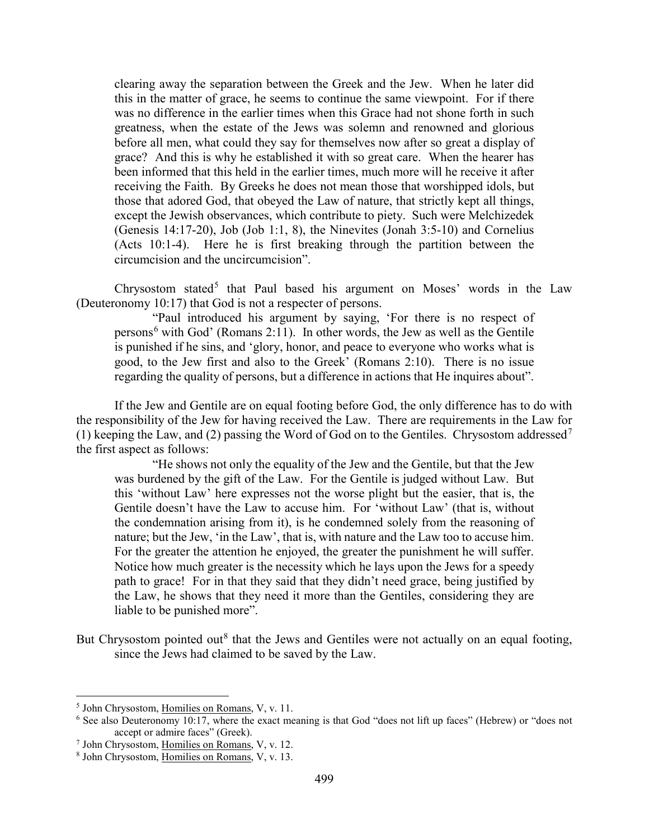clearing away the separation between the Greek and the Jew. When he later did this in the matter of grace, he seems to continue the same viewpoint. For if there was no difference in the earlier times when this Grace had not shone forth in such greatness, when the estate of the Jews was solemn and renowned and glorious before all men, what could they say for themselves now after so great a display of grace? And this is why he established it with so great care. When the hearer has been informed that this held in the earlier times, much more will he receive it after receiving the Faith. By Greeks he does not mean those that worshipped idols, but those that adored God, that obeyed the Law of nature, that strictly kept all things, except the Jewish observances, which contribute to piety. Such were Melchizedek (Genesis 14:17-20), Job (Job 1:1, 8), the Ninevites (Jonah 3:5-10) and Cornelius (Acts 10:1-4). Here he is first breaking through the partition between the circumcision and the uncircumcision".

Chrysostom stated<sup>[5](#page-3-0)</sup> that Paul based his argument on Moses' words in the Law (Deuteronomy 10:17) that God is not a respecter of persons.

"Paul introduced his argument by saying, 'For there is no respect of persons<sup>[6](#page-3-1)</sup> with God' (Romans 2:11). In other words, the Jew as well as the Gentile is punished if he sins, and 'glory, honor, and peace to everyone who works what is good, to the Jew first and also to the Greek' (Romans 2:10). There is no issue regarding the quality of persons, but a difference in actions that He inquires about".

If the Jew and Gentile are on equal footing before God, the only difference has to do with the responsibility of the Jew for having received the Law. There are requirements in the Law for (1) keeping the Law, and (2) passing the Word of God on to the Gentiles. Chrysostom addressed<sup>[7](#page-3-2)</sup> the first aspect as follows:

"He shows not only the equality of the Jew and the Gentile, but that the Jew was burdened by the gift of the Law. For the Gentile is judged without Law. But this 'without Law' here expresses not the worse plight but the easier, that is, the Gentile doesn't have the Law to accuse him. For 'without Law' (that is, without the condemnation arising from it), is he condemned solely from the reasoning of nature; but the Jew, 'in the Law', that is, with nature and the Law too to accuse him. For the greater the attention he enjoyed, the greater the punishment he will suffer. Notice how much greater is the necessity which he lays upon the Jews for a speedy path to grace! For in that they said that they didn't need grace, being justified by the Law, he shows that they need it more than the Gentiles, considering they are liable to be punished more".

But Chrysostom pointed out<sup>[8](#page-3-3)</sup> that the Jews and Gentiles were not actually on an equal footing, since the Jews had claimed to be saved by the Law.

<span id="page-3-0"></span> <sup>5</sup> John Chrysostom, Homilies on Romans, V, v. 11.

<span id="page-3-1"></span><sup>&</sup>lt;sup>6</sup> See also Deuteronomy 10:17, where the exact meaning is that God "does not lift up faces" (Hebrew) or "does not accept or admire faces" (Greek).

<span id="page-3-2"></span><sup>&</sup>lt;sup>7</sup> John Chrysostom, Homilies on Romans, V, v. 12.

<span id="page-3-3"></span><sup>8</sup> John Chrysostom, Homilies on Romans, V, v. 13.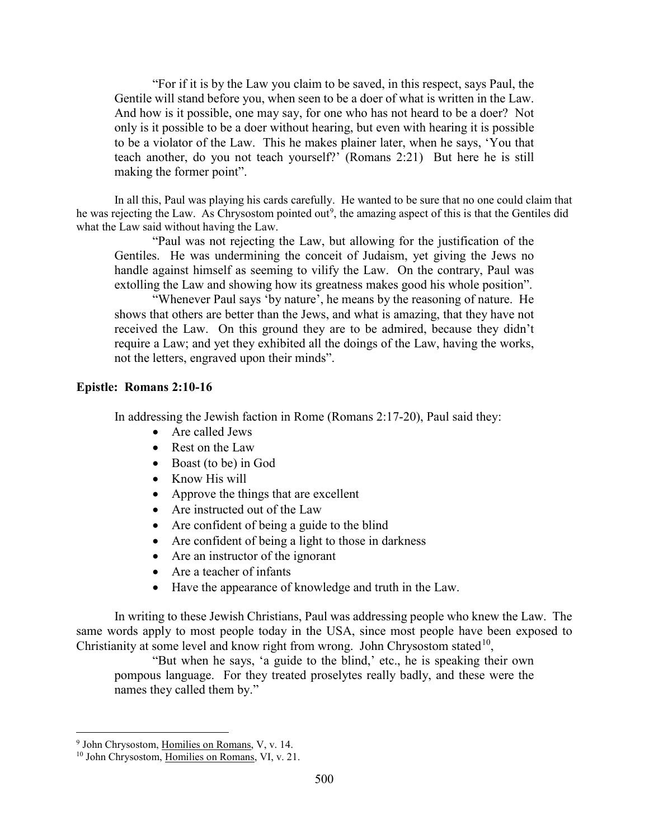"For if it is by the Law you claim to be saved, in this respect, says Paul, the Gentile will stand before you, when seen to be a doer of what is written in the Law. And how is it possible, one may say, for one who has not heard to be a doer? Not only is it possible to be a doer without hearing, but even with hearing it is possible to be a violator of the Law. This he makes plainer later, when he says, 'You that teach another, do you not teach yourself?' (Romans 2:21) But here he is still making the former point".

In all this, Paul was playing his cards carefully. He wanted to be sure that no one could claim that he was rejecting the Law. As Chrysostom pointed out<sup>[9](#page-4-1)</sup>, the amazing aspect of this is that the Gentiles did what the Law said without having the Law.

"Paul was not rejecting the Law, but allowing for the justification of the Gentiles. He was undermining the conceit of Judaism, yet giving the Jews no handle against himself as seeming to vilify the Law. On the contrary, Paul was extolling the Law and showing how its greatness makes good his whole position".

"Whenever Paul says 'by nature', he means by the reasoning of nature. He shows that others are better than the Jews, and what is amazing, that they have not received the Law. On this ground they are to be admired, because they didn't require a Law; and yet they exhibited all the doings of the Law, having the works, not the letters, engraved upon their minds".

## <span id="page-4-0"></span>**Epistle: Romans 2:10-16**

In addressing the Jewish faction in Rome (Romans 2:17-20), Paul said they:

- Are called Jews
- Rest on the Law
- Boast (to be) in God
- Know His will
- Approve the things that are excellent
- Are instructed out of the Law
- Are confident of being a guide to the blind
- Are confident of being a light to those in darkness
- Are an instructor of the ignorant
- Are a teacher of infants
- Have the appearance of knowledge and truth in the Law.

In writing to these Jewish Christians, Paul was addressing people who knew the Law. The same words apply to most people today in the USA, since most people have been exposed to Christianity at some level and know right from wrong. John Chrysostom stated<sup>10</sup>,

"But when he says, 'a guide to the blind,' etc., he is speaking their own pompous language. For they treated proselytes really badly, and these were the names they called them by."

<span id="page-4-1"></span> <sup>9</sup> John Chrysostom, Homilies on Romans, V, v. 14.

<span id="page-4-2"></span><sup>&</sup>lt;sup>10</sup> John Chrysostom, Homilies on Romans, VI, v. 21.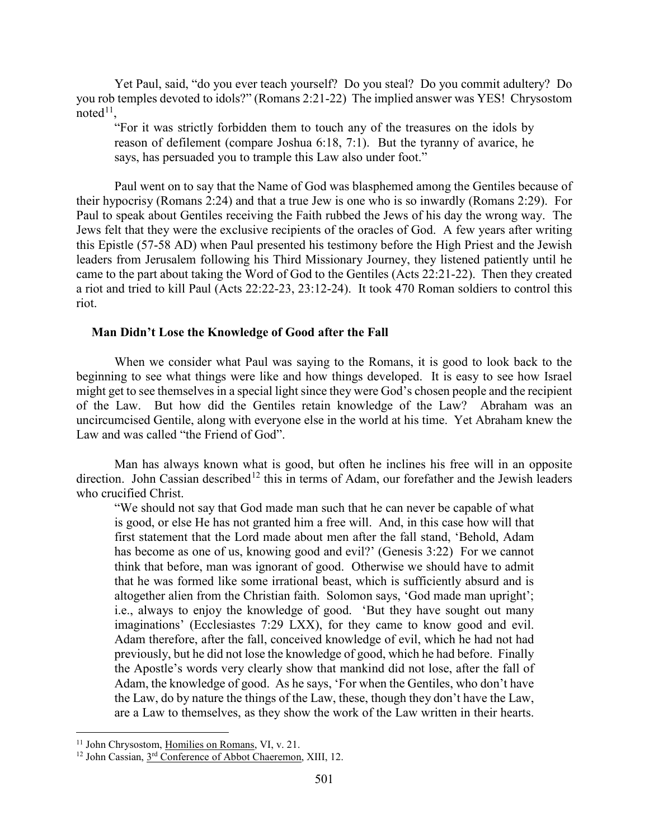Yet Paul, said, "do you ever teach yourself? Do you steal? Do you commit adultery? Do you rob temples devoted to idols?" (Romans 2:21-22) The implied answer was YES! Chrysostom noted $11$ ,

"For it was strictly forbidden them to touch any of the treasures on the idols by reason of defilement (compare Joshua 6:18, 7:1). But the tyranny of avarice, he says, has persuaded you to trample this Law also under foot."

Paul went on to say that the Name of God was blasphemed among the Gentiles because of their hypocrisy (Romans 2:24) and that a true Jew is one who is so inwardly (Romans 2:29). For Paul to speak about Gentiles receiving the Faith rubbed the Jews of his day the wrong way. The Jews felt that they were the exclusive recipients of the oracles of God. A few years after writing this Epistle (57-58 AD) when Paul presented his testimony before the High Priest and the Jewish leaders from Jerusalem following his Third Missionary Journey, they listened patiently until he came to the part about taking the Word of God to the Gentiles (Acts 22:21-22). Then they created a riot and tried to kill Paul (Acts 22:22-23, 23:12-24). It took 470 Roman soldiers to control this riot.

## <span id="page-5-0"></span>**Man Didn't Lose the Knowledge of Good after the Fall**

When we consider what Paul was saying to the Romans, it is good to look back to the beginning to see what things were like and how things developed. It is easy to see how Israel might get to see themselves in a special light since they were God's chosen people and the recipient of the Law. But how did the Gentiles retain knowledge of the Law? Abraham was an uncircumcised Gentile, along with everyone else in the world at his time. Yet Abraham knew the Law and was called "the Friend of God".

Man has always known what is good, but often he inclines his free will in an opposite direction. John Cassian described<sup>[12](#page-5-2)</sup> this in terms of Adam, our forefather and the Jewish leaders who crucified Christ.

"We should not say that God made man such that he can never be capable of what is good, or else He has not granted him a free will. And, in this case how will that first statement that the Lord made about men after the fall stand, 'Behold, Adam has become as one of us, knowing good and evil?' (Genesis 3:22) For we cannot think that before, man was ignorant of good. Otherwise we should have to admit that he was formed like some irrational beast, which is sufficiently absurd and is altogether alien from the Christian faith. Solomon says, 'God made man upright'; i.e., always to enjoy the knowledge of good. 'But they have sought out many imaginations' (Ecclesiastes 7:29 LXX), for they came to know good and evil. Adam therefore, after the fall, conceived knowledge of evil, which he had not had previously, but he did not lose the knowledge of good, which he had before. Finally the Apostle's words very clearly show that mankind did not lose, after the fall of Adam, the knowledge of good. As he says, 'For when the Gentiles, who don't have the Law, do by nature the things of the Law, these, though they don't have the Law, are a Law to themselves, as they show the work of the Law written in their hearts.

<span id="page-5-1"></span><sup>&</sup>lt;sup>11</sup> John Chrysostom, Homilies on Romans, VI, v. 21.

<span id="page-5-2"></span><sup>&</sup>lt;sup>12</sup> John Cassian, 3<sup>rd</sup> Conference of Abbot Chaeremon, XIII, 12.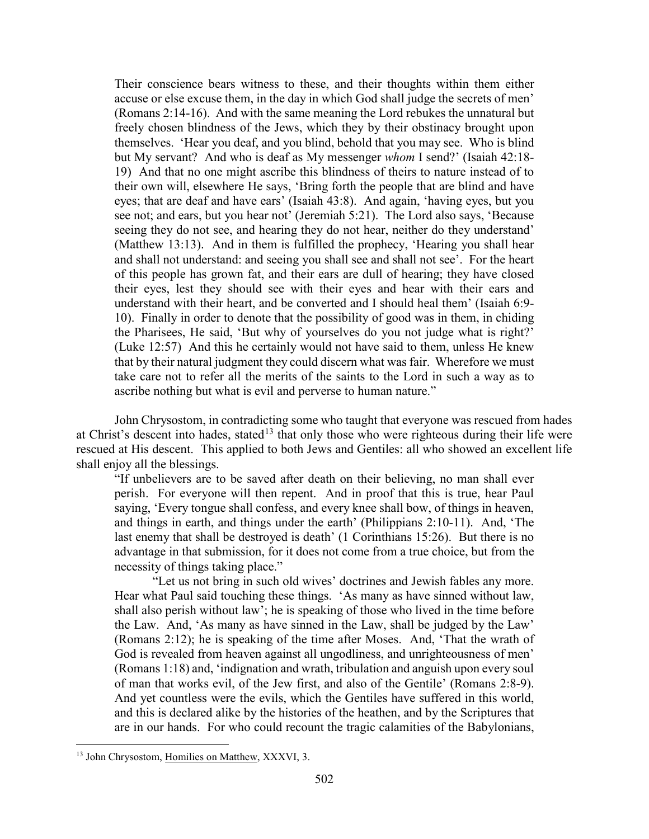Their conscience bears witness to these, and their thoughts within them either accuse or else excuse them, in the day in which God shall judge the secrets of men' (Romans 2:14-16). And with the same meaning the Lord rebukes the unnatural but freely chosen blindness of the Jews, which they by their obstinacy brought upon themselves. 'Hear you deaf, and you blind, behold that you may see. Who is blind but My servant? And who is deaf as My messenger *whom* I send?' (Isaiah 42:18- 19) And that no one might ascribe this blindness of theirs to nature instead of to their own will, elsewhere He says, 'Bring forth the people that are blind and have eyes; that are deaf and have ears' (Isaiah 43:8). And again, 'having eyes, but you see not; and ears, but you hear not' (Jeremiah 5:21). The Lord also says, 'Because seeing they do not see, and hearing they do not hear, neither do they understand' (Matthew 13:13). And in them is fulfilled the prophecy, 'Hearing you shall hear and shall not understand: and seeing you shall see and shall not see'. For the heart of this people has grown fat, and their ears are dull of hearing; they have closed their eyes, lest they should see with their eyes and hear with their ears and understand with their heart, and be converted and I should heal them' (Isaiah 6:9- 10). Finally in order to denote that the possibility of good was in them, in chiding the Pharisees, He said, 'But why of yourselves do you not judge what is right?' (Luke 12:57) And this he certainly would not have said to them, unless He knew that by their natural judgment they could discern what was fair. Wherefore we must take care not to refer all the merits of the saints to the Lord in such a way as to ascribe nothing but what is evil and perverse to human nature."

John Chrysostom, in contradicting some who taught that everyone was rescued from hades at Christ's descent into hades, stated<sup>[13](#page-6-0)</sup> that only those who were righteous during their life were rescued at His descent. This applied to both Jews and Gentiles: all who showed an excellent life shall enjoy all the blessings.

"If unbelievers are to be saved after death on their believing, no man shall ever perish. For everyone will then repent. And in proof that this is true, hear Paul saying, 'Every tongue shall confess, and every knee shall bow, of things in heaven, and things in earth, and things under the earth' (Philippians 2:10-11). And, 'The last enemy that shall be destroyed is death' (1 Corinthians 15:26). But there is no advantage in that submission, for it does not come from a true choice, but from the necessity of things taking place."

"Let us not bring in such old wives' doctrines and Jewish fables any more. Hear what Paul said touching these things. 'As many as have sinned without law, shall also perish without law'; he is speaking of those who lived in the time before the Law. And, 'As many as have sinned in the Law, shall be judged by the Law' (Romans 2:12); he is speaking of the time after Moses. And, 'That the wrath of God is revealed from heaven against all ungodliness, and unrighteousness of men' (Romans 1:18) and, 'indignation and wrath, tribulation and anguish upon every soul of man that works evil, of the Jew first, and also of the Gentile' (Romans 2:8-9). And yet countless were the evils, which the Gentiles have suffered in this world, and this is declared alike by the histories of the heathen, and by the Scriptures that are in our hands. For who could recount the tragic calamities of the Babylonians,

<span id="page-6-0"></span><sup>&</sup>lt;sup>13</sup> John Chrysostom, Homilies on Matthew, XXXVI, 3.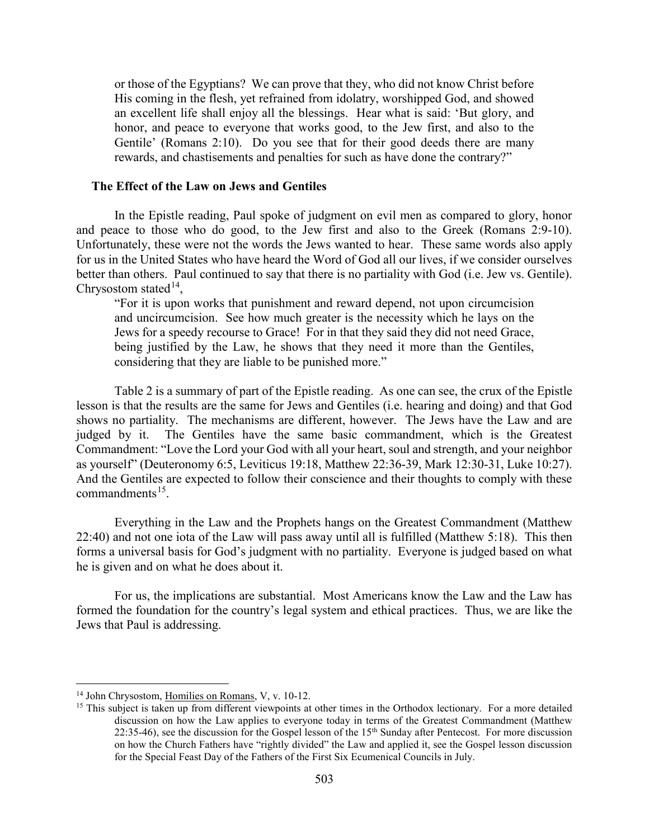or those of the Egyptians? We can prove that they, who did not know Christ before His coming in the flesh, yet refrained from idolatry, worshipped God, and showed an excellent life shall enjoy all the blessings. Hear what is said: 'But glory, and honor, and peace to everyone that works good, to the Jew first, and also to the Gentile' (Romans 2:10). Do you see that for their good deeds there are many rewards, and chastisements and penalties for such as have done the contrary?"

#### <span id="page-7-0"></span>**The Effect of the Law on Jews and Gentiles**

In the Epistle reading, Paul spoke of judgment on evil men as compared to glory, honor and peace to those who do good, to the Jew first and also to the Greek (Romans 2:9-10). Unfortunately, these were not the words the Jews wanted to hear. These same words also apply for us in the United States who have heard the Word of God all our lives, if we consider ourselves better than others. Paul continued to say that there is no partiality with God (i.e. Jew vs. Gentile). Chrysostom stated<sup>14</sup>,

"For it is upon works that punishment and reward depend, not upon circumcision and uncircumcision. See how much greater is the necessity which he lays on the Jews for a speedy recourse to Grace! For in that they said they did not need Grace, being justified by the Law, he shows that they need it more than the Gentiles, considering that they are liable to be punished more."

Table 2 is a summary of part of the Epistle reading. As one can see, the crux of the Epistle lesson is that the results are the same for Jews and Gentiles (i.e. hearing and doing) and that God shows no partiality. The mechanisms are different, however. The Jews have the Law and are judged by it. The Gentiles have the same basic commandment, which is the Greatest Commandment: "Love the Lord your God with all your heart, soul and strength, and your neighbor as yourself" (Deuteronomy 6:5, Leviticus 19:18, Matthew 22:36-39, Mark 12:30-31, Luke 10:27). And the Gentiles are expected to follow their conscience and their thoughts to comply with these commandments $15$ .

Everything in the Law and the Prophets hangs on the Greatest Commandment (Matthew 22:40) and not one iota of the Law will pass away until all is fulfilled (Matthew 5:18). This then forms a universal basis for God's judgment with no partiality. Everyone is judged based on what he is given and on what he does about it.

For us, the implications are substantial. Most Americans know the Law and the Law has formed the foundation for the country's legal system and ethical practices. Thus, we are like the Jews that Paul is addressing.

<span id="page-7-1"></span> <sup>14</sup> John Chrysostom, Homilies on Romans, V, v. 10-12.

<span id="page-7-2"></span><sup>&</sup>lt;sup>15</sup> This subject is taken up from different viewpoints at other times in the Orthodox lectionary. For a more detailed discussion on how the Law applies to everyone today in terms of the Greatest Commandment (Matthew  $22:35-46$ ), see the discussion for the Gospel lesson of the  $15<sup>th</sup>$  Sunday after Pentecost. For more discussion on how the Church Fathers have "rightly divided" the Law and applied it, see the Gospel lesson discussion for the Special Feast Day of the Fathers of the First Six Ecumenical Councils in July.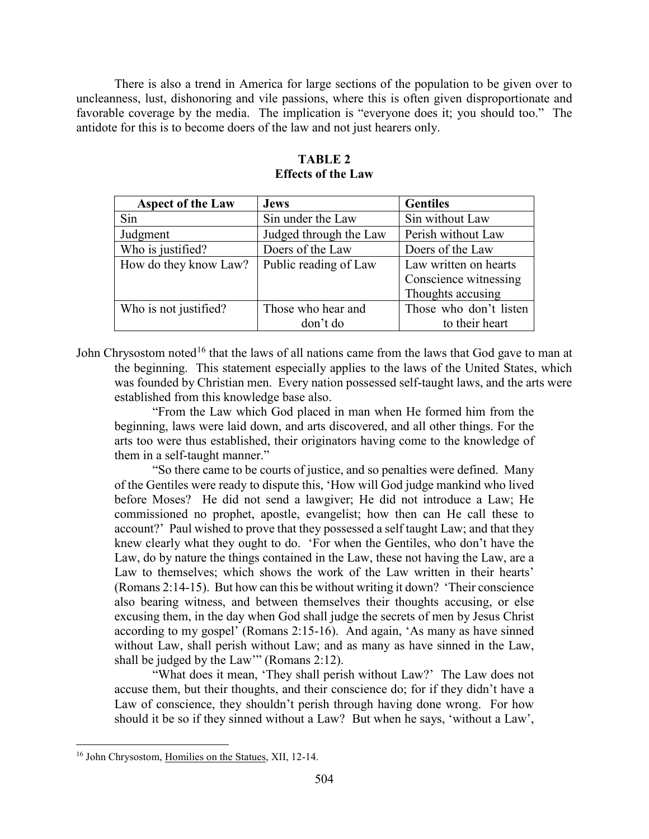There is also a trend in America for large sections of the population to be given over to uncleanness, lust, dishonoring and vile passions, where this is often given disproportionate and favorable coverage by the media. The implication is "everyone does it; you should too." The antidote for this is to become doers of the law and not just hearers only.

| <b>Aspect of the Law</b> | <b>Jews</b>            | <b>Gentiles</b>        |
|--------------------------|------------------------|------------------------|
| Sin                      | Sin under the Law      | Sin without Law        |
| Judgment                 | Judged through the Law | Perish without Law     |
| Who is justified?        | Doers of the Law       | Doers of the Law       |
| How do they know Law?    | Public reading of Law  | Law written on hearts  |
|                          |                        | Conscience witnessing  |
|                          |                        | Thoughts accusing      |
| Who is not justified?    | Those who hear and     | Those who don't listen |
|                          | don't do               | to their heart         |

## **TABLE 2 Effects of the Law**

John Chrysostom noted<sup>[16](#page-8-0)</sup> that the laws of all nations came from the laws that God gave to man at the beginning. This statement especially applies to the laws of the United States, which was founded by Christian men. Every nation possessed self-taught laws, and the arts were established from this knowledge base also.

"From the Law which God placed in man when He formed him from the beginning, laws were laid down, and arts discovered, and all other things. For the arts too were thus established, their originators having come to the knowledge of them in a self-taught manner."

"So there came to be courts of justice, and so penalties were defined. Many of the Gentiles were ready to dispute this, 'How will God judge mankind who lived before Moses? He did not send a lawgiver; He did not introduce a Law; He commissioned no prophet, apostle, evangelist; how then can He call these to account?' Paul wished to prove that they possessed a self taught Law; and that they knew clearly what they ought to do. 'For when the Gentiles, who don't have the Law, do by nature the things contained in the Law, these not having the Law, are a Law to themselves; which shows the work of the Law written in their hearts' (Romans 2:14-15). But how can this be without writing it down? 'Their conscience also bearing witness, and between themselves their thoughts accusing, or else excusing them, in the day when God shall judge the secrets of men by Jesus Christ according to my gospel' (Romans 2:15-16). And again, 'As many as have sinned without Law, shall perish without Law; and as many as have sinned in the Law, shall be judged by the Law'" (Romans 2:12).

"What does it mean, 'They shall perish without Law?' The Law does not accuse them, but their thoughts, and their conscience do; for if they didn't have a Law of conscience, they shouldn't perish through having done wrong. For how should it be so if they sinned without a Law? But when he says, 'without a Law',

<span id="page-8-0"></span> <sup>16</sup> John Chrysostom, Homilies on the Statues, XII, 12-14.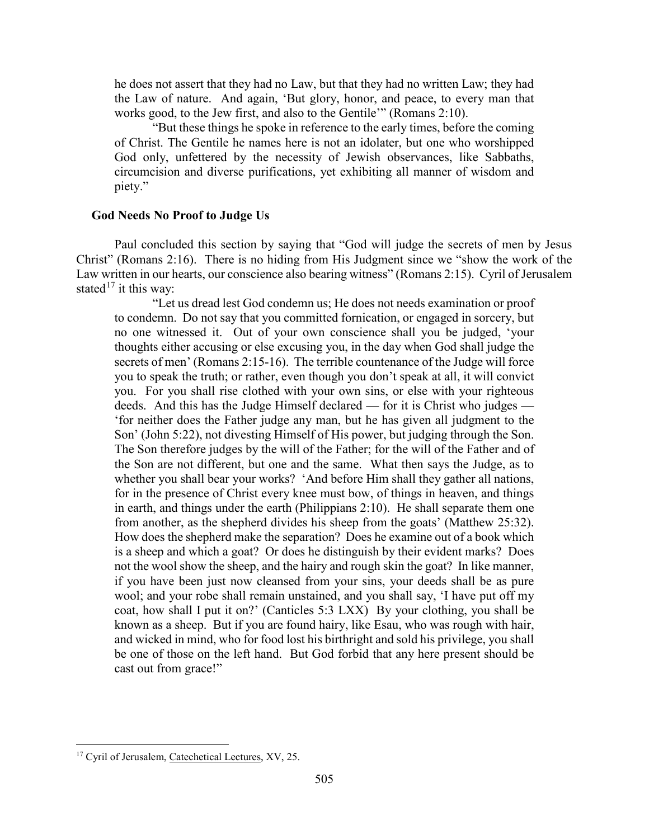he does not assert that they had no Law, but that they had no written Law; they had the Law of nature. And again, 'But glory, honor, and peace, to every man that works good, to the Jew first, and also to the Gentile'" (Romans 2:10).

"But these things he spoke in reference to the early times, before the coming of Christ. The Gentile he names here is not an idolater, but one who worshipped God only, unfettered by the necessity of Jewish observances, like Sabbaths, circumcision and diverse purifications, yet exhibiting all manner of wisdom and piety."

## <span id="page-9-0"></span>**God Needs No Proof to Judge Us**

Paul concluded this section by saying that "God will judge the secrets of men by Jesus Christ" (Romans 2:16). There is no hiding from His Judgment since we "show the work of the Law written in our hearts, our conscience also bearing witness" (Romans 2:15). Cyril of Jerusalem stated<sup>[17](#page-9-1)</sup> it this way:

"Let us dread lest God condemn us; He does not needs examination or proof to condemn. Do not say that you committed fornication, or engaged in sorcery, but no one witnessed it. Out of your own conscience shall you be judged, 'your thoughts either accusing or else excusing you, in the day when God shall judge the secrets of men' (Romans 2:15-16). The terrible countenance of the Judge will force you to speak the truth; or rather, even though you don't speak at all, it will convict you. For you shall rise clothed with your own sins, or else with your righteous deeds. And this has the Judge Himself declared — for it is Christ who judges — 'for neither does the Father judge any man, but he has given all judgment to the Son' (John 5:22), not divesting Himself of His power, but judging through the Son. The Son therefore judges by the will of the Father; for the will of the Father and of the Son are not different, but one and the same. What then says the Judge, as to whether you shall bear your works? 'And before Him shall they gather all nations, for in the presence of Christ every knee must bow, of things in heaven, and things in earth, and things under the earth (Philippians 2:10). He shall separate them one from another, as the shepherd divides his sheep from the goats' (Matthew 25:32). How does the shepherd make the separation? Does he examine out of a book which is a sheep and which a goat? Or does he distinguish by their evident marks? Does not the wool show the sheep, and the hairy and rough skin the goat? In like manner, if you have been just now cleansed from your sins, your deeds shall be as pure wool; and your robe shall remain unstained, and you shall say, 'I have put off my coat, how shall I put it on?' (Canticles 5:3 LXX) By your clothing, you shall be known as a sheep. But if you are found hairy, like Esau, who was rough with hair, and wicked in mind, who for food lost his birthright and sold his privilege, you shall be one of those on the left hand. But God forbid that any here present should be cast out from grace!"

<span id="page-9-1"></span><sup>&</sup>lt;sup>17</sup> Cyril of Jerusalem, Catechetical Lectures, XV, 25.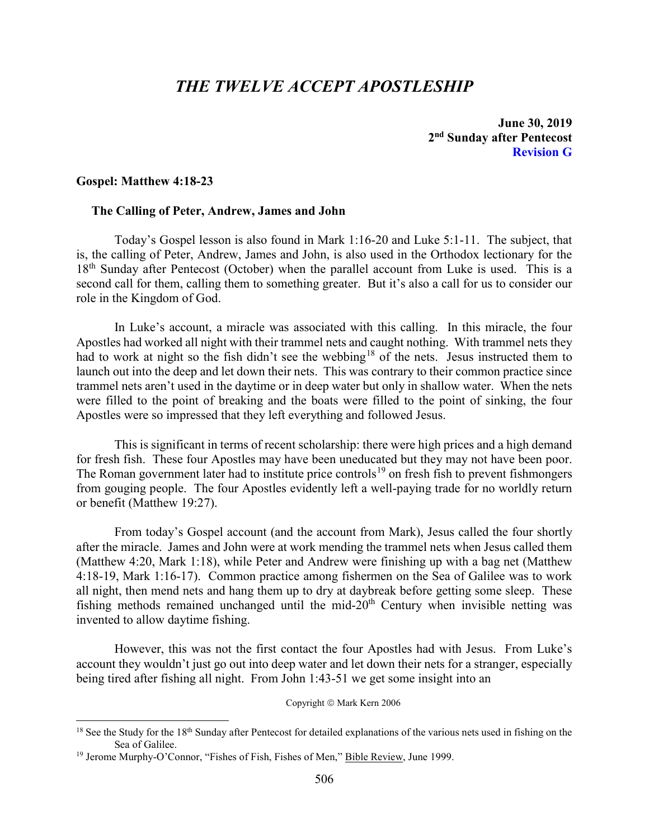## *THE TWELVE ACCEPT APOSTLESHIP*

**June 30, 2019 2nd Sunday after Pentecost Revision G**

#### <span id="page-10-0"></span>**Gospel: Matthew 4:18-23**

## <span id="page-10-1"></span>**The Calling of Peter, Andrew, James and John**

Today's Gospel lesson is also found in Mark 1:16-20 and Luke 5:1-11. The subject, that is, the calling of Peter, Andrew, James and John, is also used in the Orthodox lectionary for the 18<sup>th</sup> Sunday after Pentecost (October) when the parallel account from Luke is used. This is a second call for them, calling them to something greater. But it's also a call for us to consider our role in the Kingdom of God.

In Luke's account, a miracle was associated with this calling. In this miracle, the four Apostles had worked all night with their trammel nets and caught nothing. With trammel nets they had to work at night so the fish didn't see the webbing<sup>[18](#page-10-2)</sup> of the nets. Jesus instructed them to launch out into the deep and let down their nets. This was contrary to their common practice since trammel nets aren't used in the daytime or in deep water but only in shallow water. When the nets were filled to the point of breaking and the boats were filled to the point of sinking, the four Apostles were so impressed that they left everything and followed Jesus.

This is significant in terms of recent scholarship: there were high prices and a high demand for fresh fish. These four Apostles may have been uneducated but they may not have been poor. The Roman government later had to institute price controls<sup>[19](#page-10-3)</sup> on fresh fish to prevent fishmongers from gouging people. The four Apostles evidently left a well-paying trade for no worldly return or benefit (Matthew 19:27).

From today's Gospel account (and the account from Mark), Jesus called the four shortly after the miracle. James and John were at work mending the trammel nets when Jesus called them (Matthew 4:20, Mark 1:18), while Peter and Andrew were finishing up with a bag net (Matthew 4:18-19, Mark 1:16-17). Common practice among fishermen on the Sea of Galilee was to work all night, then mend nets and hang them up to dry at daybreak before getting some sleep. These fishing methods remained unchanged until the mid- $20<sup>th</sup>$  Century when invisible netting was invented to allow daytime fishing.

However, this was not the first contact the four Apostles had with Jesus. From Luke's account they wouldn't just go out into deep water and let down their nets for a stranger, especially being tired after fishing all night. From John 1:43-51 we get some insight into an

Copyright © Mark Kern 2006

<span id="page-10-2"></span> $18$  See the Study for the 18<sup>th</sup> Sunday after Pentecost for detailed explanations of the various nets used in fishing on the Sea of Galilee.

<span id="page-10-3"></span><sup>&</sup>lt;sup>19</sup> Jerome Murphy-O'Connor, "Fishes of Fish, Fishes of Men," Bible Review, June 1999.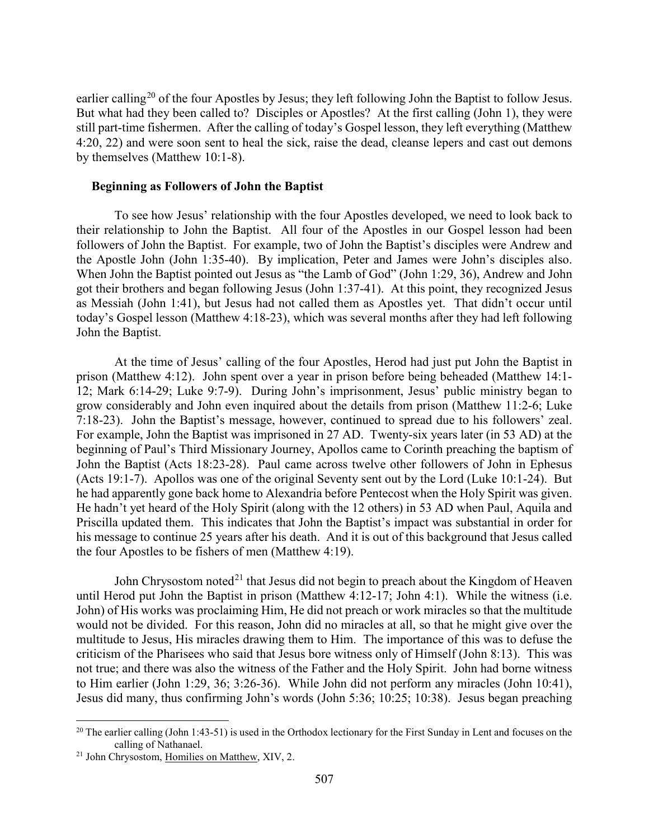earlier calling<sup>[20](#page-11-1)</sup> of the four Apostles by Jesus; they left following John the Baptist to follow Jesus. But what had they been called to? Disciples or Apostles? At the first calling (John 1), they were still part-time fishermen. After the calling of today's Gospel lesson, they left everything (Matthew 4:20, 22) and were soon sent to heal the sick, raise the dead, cleanse lepers and cast out demons by themselves (Matthew 10:1-8).

#### <span id="page-11-0"></span>**Beginning as Followers of John the Baptist**

To see how Jesus' relationship with the four Apostles developed, we need to look back to their relationship to John the Baptist. All four of the Apostles in our Gospel lesson had been followers of John the Baptist. For example, two of John the Baptist's disciples were Andrew and the Apostle John (John 1:35-40). By implication, Peter and James were John's disciples also. When John the Baptist pointed out Jesus as "the Lamb of God" (John 1:29, 36), Andrew and John got their brothers and began following Jesus (John 1:37-41). At this point, they recognized Jesus as Messiah (John 1:41), but Jesus had not called them as Apostles yet. That didn't occur until today's Gospel lesson (Matthew 4:18-23), which was several months after they had left following John the Baptist.

At the time of Jesus' calling of the four Apostles, Herod had just put John the Baptist in prison (Matthew 4:12). John spent over a year in prison before being beheaded (Matthew 14:1- 12; Mark 6:14-29; Luke 9:7-9). During John's imprisonment, Jesus' public ministry began to grow considerably and John even inquired about the details from prison (Matthew 11:2-6; Luke 7:18-23). John the Baptist's message, however, continued to spread due to his followers' zeal. For example, John the Baptist was imprisoned in 27 AD. Twenty-six years later (in 53 AD) at the beginning of Paul's Third Missionary Journey, Apollos came to Corinth preaching the baptism of John the Baptist (Acts 18:23-28). Paul came across twelve other followers of John in Ephesus (Acts 19:1-7). Apollos was one of the original Seventy sent out by the Lord (Luke 10:1-24). But he had apparently gone back home to Alexandria before Pentecost when the Holy Spirit was given. He hadn't yet heard of the Holy Spirit (along with the 12 others) in 53 AD when Paul, Aquila and Priscilla updated them. This indicates that John the Baptist's impact was substantial in order for his message to continue 25 years after his death. And it is out of this background that Jesus called the four Apostles to be fishers of men (Matthew 4:19).

John Chrysostom noted<sup>[21](#page-11-2)</sup> that Jesus did not begin to preach about the Kingdom of Heaven until Herod put John the Baptist in prison (Matthew 4:12-17; John 4:1). While the witness (i.e. John) of His works was proclaiming Him, He did not preach or work miracles so that the multitude would not be divided. For this reason, John did no miracles at all, so that he might give over the multitude to Jesus, His miracles drawing them to Him. The importance of this was to defuse the criticism of the Pharisees who said that Jesus bore witness only of Himself (John 8:13). This was not true; and there was also the witness of the Father and the Holy Spirit. John had borne witness to Him earlier (John 1:29, 36; 3:26-36). While John did not perform any miracles (John 10:41), Jesus did many, thus confirming John's words (John 5:36; 10:25; 10:38). Jesus began preaching

<span id="page-11-1"></span><sup>&</sup>lt;sup>20</sup> The earlier calling (John 1:43-51) is used in the Orthodox lectionary for the First Sunday in Lent and focuses on the calling of Nathanael.

<span id="page-11-2"></span><sup>&</sup>lt;sup>21</sup> John Chrysostom, Homilies on Matthew, XIV, 2.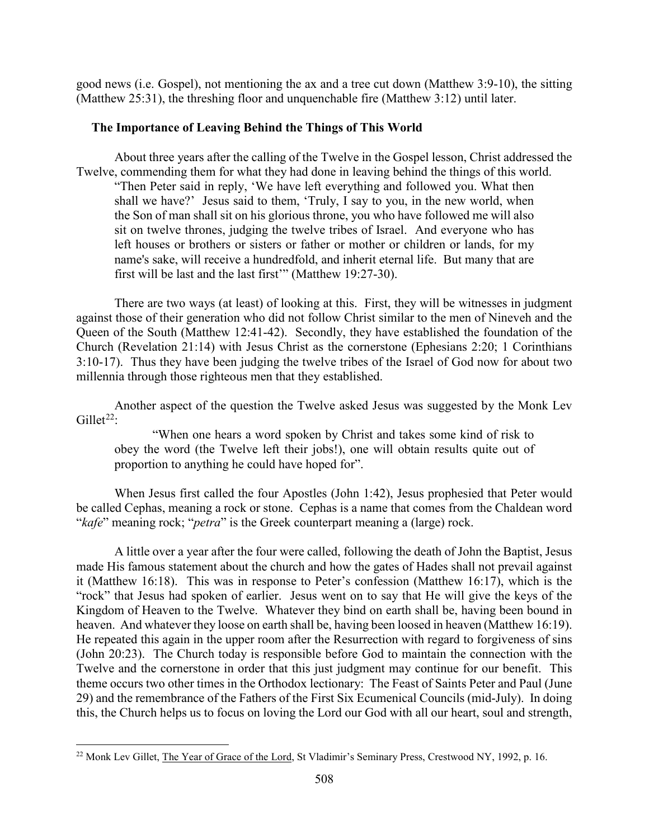good news (i.e. Gospel), not mentioning the ax and a tree cut down (Matthew 3:9-10), the sitting (Matthew 25:31), the threshing floor and unquenchable fire (Matthew 3:12) until later.

## <span id="page-12-0"></span>**The Importance of Leaving Behind the Things of This World**

About three years after the calling of the Twelve in the Gospel lesson, Christ addressed the Twelve, commending them for what they had done in leaving behind the things of this world. "Then Peter said in reply, 'We have left everything and followed you. What then shall we have?' Jesus said to them, 'Truly, I say to you, in the new world, when the Son of man shall sit on his glorious throne, you who have followed me will also sit on twelve thrones, judging the twelve tribes of Israel. And everyone who has left houses or brothers or sisters or father or mother or children or lands, for my name's sake, will receive a hundredfold, and inherit eternal life. But many that are first will be last and the last first'" (Matthew 19:27-30).

There are two ways (at least) of looking at this. First, they will be witnesses in judgment against those of their generation who did not follow Christ similar to the men of Nineveh and the Queen of the South (Matthew 12:41-42). Secondly, they have established the foundation of the Church (Revelation 21:14) with Jesus Christ as the cornerstone (Ephesians 2:20; 1 Corinthians 3:10-17). Thus they have been judging the twelve tribes of the Israel of God now for about two millennia through those righteous men that they established.

Another aspect of the question the Twelve asked Jesus was suggested by the Monk Lev Gillet<sup>[22](#page-12-1)</sup>:

"When one hears a word spoken by Christ and takes some kind of risk to obey the word (the Twelve left their jobs!), one will obtain results quite out of proportion to anything he could have hoped for".

When Jesus first called the four Apostles (John 1:42), Jesus prophesied that Peter would be called Cephas, meaning a rock or stone. Cephas is a name that comes from the Chaldean word "*kafe*" meaning rock; "*petra*" is the Greek counterpart meaning a (large) rock.

A little over a year after the four were called, following the death of John the Baptist, Jesus made His famous statement about the church and how the gates of Hades shall not prevail against it (Matthew 16:18). This was in response to Peter's confession (Matthew 16:17), which is the "rock" that Jesus had spoken of earlier. Jesus went on to say that He will give the keys of the Kingdom of Heaven to the Twelve. Whatever they bind on earth shall be, having been bound in heaven. And whatever they loose on earth shall be, having been loosed in heaven (Matthew 16:19). He repeated this again in the upper room after the Resurrection with regard to forgiveness of sins (John 20:23). The Church today is responsible before God to maintain the connection with the Twelve and the cornerstone in order that this just judgment may continue for our benefit. This theme occurs two other times in the Orthodox lectionary: The Feast of Saints Peter and Paul (June 29) and the remembrance of the Fathers of the First Six Ecumenical Councils (mid-July). In doing this, the Church helps us to focus on loving the Lord our God with all our heart, soul and strength,

<span id="page-12-1"></span><sup>&</sup>lt;sup>22</sup> Monk Lev Gillet, The Year of Grace of the Lord, St Vladimir's Seminary Press, Crestwood NY, 1992, p. 16.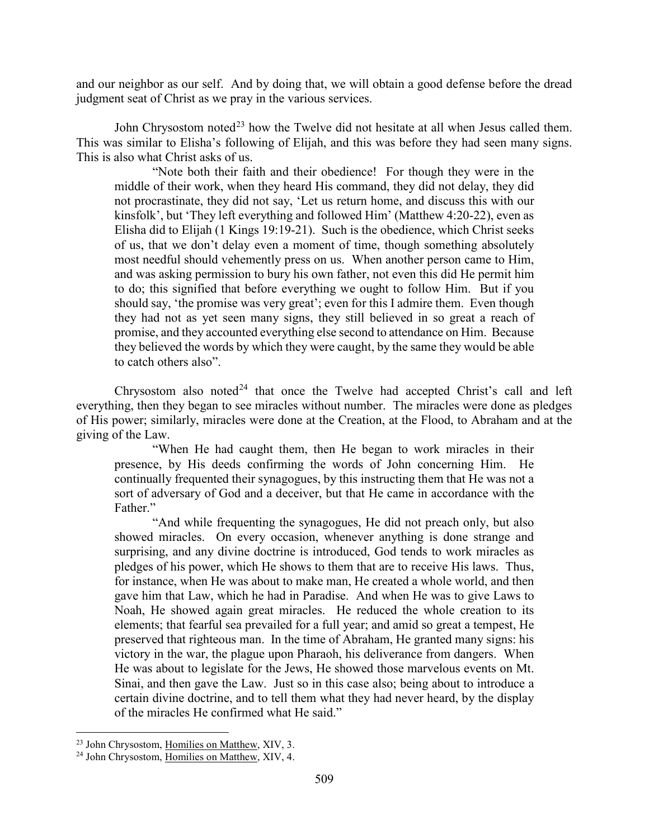and our neighbor as our self. And by doing that, we will obtain a good defense before the dread judgment seat of Christ as we pray in the various services.

John Chrysostom noted<sup>[23](#page-13-0)</sup> how the Twelve did not hesitate at all when Jesus called them. This was similar to Elisha's following of Elijah, and this was before they had seen many signs. This is also what Christ asks of us.

"Note both their faith and their obedience! For though they were in the middle of their work, when they heard His command, they did not delay, they did not procrastinate, they did not say, 'Let us return home, and discuss this with our kinsfolk', but 'They left everything and followed Him' (Matthew 4:20-22), even as Elisha did to Elijah (1 Kings 19:19-21). Such is the obedience, which Christ seeks of us, that we don't delay even a moment of time, though something absolutely most needful should vehemently press on us. When another person came to Him, and was asking permission to bury his own father, not even this did He permit him to do; this signified that before everything we ought to follow Him. But if you should say, 'the promise was very great'; even for this I admire them. Even though they had not as yet seen many signs, they still believed in so great a reach of promise, and they accounted everything else second to attendance on Him. Because they believed the words by which they were caught, by the same they would be able to catch others also".

Chrysostom also noted<sup>[24](#page-13-1)</sup> that once the Twelve had accepted Christ's call and left everything, then they began to see miracles without number. The miracles were done as pledges of His power; similarly, miracles were done at the Creation, at the Flood, to Abraham and at the giving of the Law.

"When He had caught them, then He began to work miracles in their presence, by His deeds confirming the words of John concerning Him. He continually frequented their synagogues, by this instructing them that He was not a sort of adversary of God and a deceiver, but that He came in accordance with the Father."

"And while frequenting the synagogues, He did not preach only, but also showed miracles. On every occasion, whenever anything is done strange and surprising, and any divine doctrine is introduced, God tends to work miracles as pledges of his power, which He shows to them that are to receive His laws. Thus, for instance, when He was about to make man, He created a whole world, and then gave him that Law, which he had in Paradise. And when He was to give Laws to Noah, He showed again great miracles. He reduced the whole creation to its elements; that fearful sea prevailed for a full year; and amid so great a tempest, He preserved that righteous man. In the time of Abraham, He granted many signs: his victory in the war, the plague upon Pharaoh, his deliverance from dangers. When He was about to legislate for the Jews, He showed those marvelous events on Mt. Sinai, and then gave the Law. Just so in this case also; being about to introduce a certain divine doctrine, and to tell them what they had never heard, by the display of the miracles He confirmed what He said."

<span id="page-13-0"></span><sup>&</sup>lt;sup>23</sup> John Chrysostom, Homilies on Matthew, XIV, 3.

<span id="page-13-1"></span><sup>&</sup>lt;sup>24</sup> John Chrysostom, Homilies on Matthew, XIV, 4.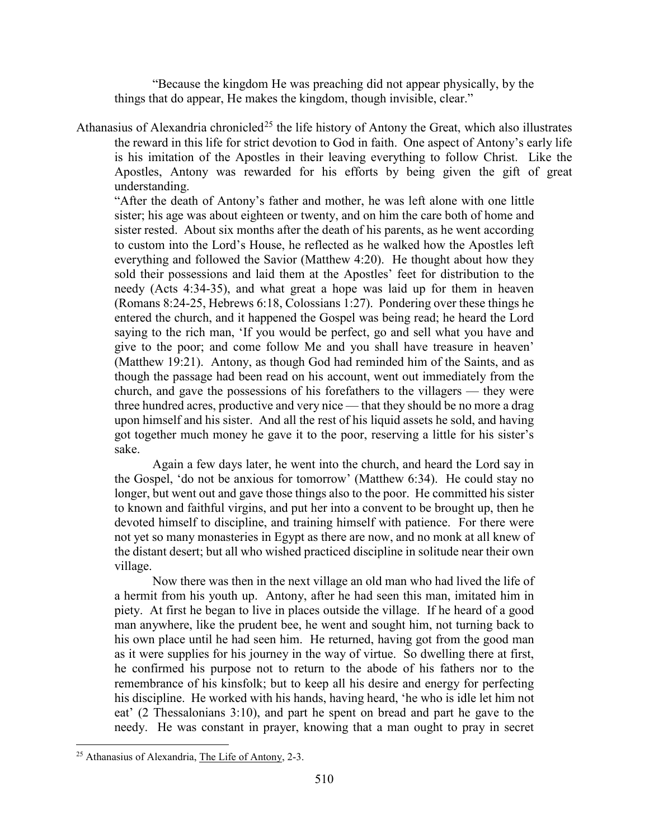"Because the kingdom He was preaching did not appear physically, by the things that do appear, He makes the kingdom, though invisible, clear."

Athanasius of Alexandria chronicled<sup>[25](#page-14-0)</sup> the life history of Antony the Great, which also illustrates the reward in this life for strict devotion to God in faith. One aspect of Antony's early life is his imitation of the Apostles in their leaving everything to follow Christ. Like the Apostles, Antony was rewarded for his efforts by being given the gift of great understanding.

"After the death of Antony's father and mother, he was left alone with one little sister; his age was about eighteen or twenty, and on him the care both of home and sister rested. About six months after the death of his parents, as he went according to custom into the Lord's House, he reflected as he walked how the Apostles left everything and followed the Savior (Matthew 4:20). He thought about how they sold their possessions and laid them at the Apostles' feet for distribution to the needy (Acts 4:34-35), and what great a hope was laid up for them in heaven (Romans 8:24-25, Hebrews 6:18, Colossians 1:27). Pondering over these things he entered the church, and it happened the Gospel was being read; he heard the Lord saying to the rich man, 'If you would be perfect, go and sell what you have and give to the poor; and come follow Me and you shall have treasure in heaven' (Matthew 19:21). Antony, as though God had reminded him of the Saints, and as though the passage had been read on his account, went out immediately from the church, and gave the possessions of his forefathers to the villagers — they were three hundred acres, productive and very nice — that they should be no more a drag upon himself and his sister. And all the rest of his liquid assets he sold, and having got together much money he gave it to the poor, reserving a little for his sister's sake.

Again a few days later, he went into the church, and heard the Lord say in the Gospel, 'do not be anxious for tomorrow' (Matthew 6:34). He could stay no longer, but went out and gave those things also to the poor. He committed his sister to known and faithful virgins, and put her into a convent to be brought up, then he devoted himself to discipline, and training himself with patience. For there were not yet so many monasteries in Egypt as there are now, and no monk at all knew of the distant desert; but all who wished practiced discipline in solitude near their own village.

Now there was then in the next village an old man who had lived the life of a hermit from his youth up. Antony, after he had seen this man, imitated him in piety. At first he began to live in places outside the village. If he heard of a good man anywhere, like the prudent bee, he went and sought him, not turning back to his own place until he had seen him. He returned, having got from the good man as it were supplies for his journey in the way of virtue. So dwelling there at first, he confirmed his purpose not to return to the abode of his fathers nor to the remembrance of his kinsfolk; but to keep all his desire and energy for perfecting his discipline. He worked with his hands, having heard, 'he who is idle let him not eat' (2 Thessalonians 3:10), and part he spent on bread and part he gave to the needy. He was constant in prayer, knowing that a man ought to pray in secret

<span id="page-14-0"></span> <sup>25</sup> Athanasius of Alexandria, The Life of Antony, 2-3.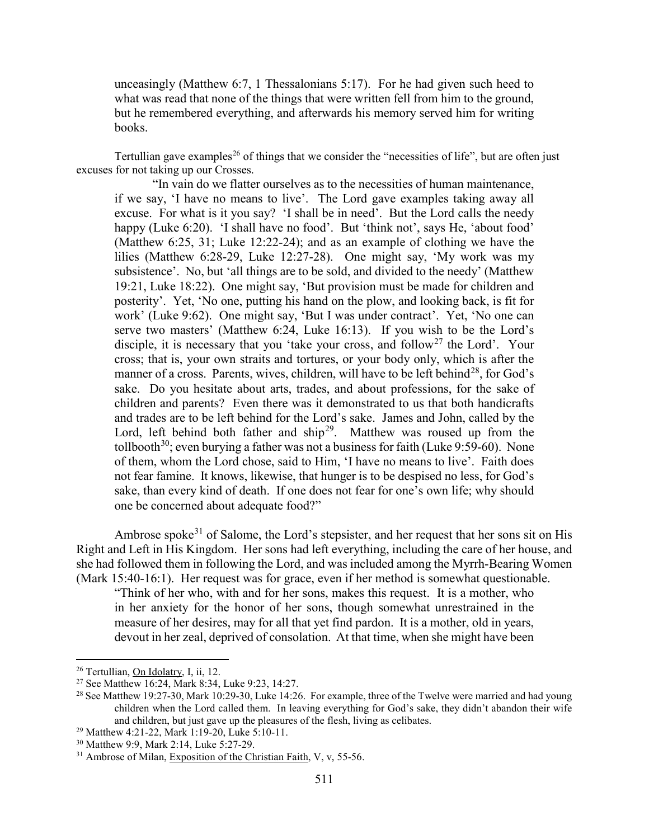unceasingly (Matthew 6:7, 1 Thessalonians 5:17). For he had given such heed to what was read that none of the things that were written fell from him to the ground, but he remembered everything, and afterwards his memory served him for writing books.

Tertullian gave examples<sup>[26](#page-15-0)</sup> of things that we consider the "necessities of life", but are often just excuses for not taking up our Crosses.

"In vain do we flatter ourselves as to the necessities of human maintenance, if we say, 'I have no means to live'. The Lord gave examples taking away all excuse. For what is it you say? 'I shall be in need'. But the Lord calls the needy happy (Luke 6:20). 'I shall have no food'. But 'think not', says He, 'about food' (Matthew 6:25, 31; Luke 12:22-24); and as an example of clothing we have the lilies (Matthew 6:28-29, Luke 12:27-28). One might say, 'My work was my subsistence'. No, but 'all things are to be sold, and divided to the needy' (Matthew 19:21, Luke 18:22). One might say, 'But provision must be made for children and posterity'. Yet, 'No one, putting his hand on the plow, and looking back, is fit for work' (Luke 9:62). One might say, 'But I was under contract'. Yet, 'No one can serve two masters' (Matthew 6:24, Luke 16:13). If you wish to be the Lord's disciple, it is necessary that you 'take your cross, and follow<sup>[27](#page-15-1)</sup> the Lord'. Your cross; that is, your own straits and tortures, or your body only, which is after the manner of a cross. Parents, wives, children, will have to be left behind<sup>28</sup>, for God's sake. Do you hesitate about arts, trades, and about professions, for the sake of children and parents? Even there was it demonstrated to us that both handicrafts and trades are to be left behind for the Lord's sake. James and John, called by the Lord, left behind both father and  $\sin^{29}$  $\sin^{29}$  $\sin^{29}$ . Matthew was roused up from the tollbooth<sup>30</sup>; even burying a father was not a business for faith (Luke 9:59-60). None of them, whom the Lord chose, said to Him, 'I have no means to live'. Faith does not fear famine. It knows, likewise, that hunger is to be despised no less, for God's sake, than every kind of death. If one does not fear for one's own life; why should one be concerned about adequate food?"

Ambrose spoke<sup>[31](#page-15-5)</sup> of Salome, the Lord's stepsister, and her request that her sons sit on His Right and Left in His Kingdom. Her sons had left everything, including the care of her house, and she had followed them in following the Lord, and was included among the Myrrh-Bearing Women (Mark 15:40-16:1). Her request was for grace, even if her method is somewhat questionable.

"Think of her who, with and for her sons, makes this request. It is a mother, who in her anxiety for the honor of her sons, though somewhat unrestrained in the measure of her desires, may for all that yet find pardon. It is a mother, old in years, devout in her zeal, deprived of consolation. At that time, when she might have been

<span id="page-15-0"></span> <sup>26</sup> Tertullian, On Idolatry, I, ii, 12.

<span id="page-15-1"></span><sup>27</sup> See Matthew 16:24, Mark 8:34, Luke 9:23, 14:27.

<span id="page-15-2"></span><sup>&</sup>lt;sup>28</sup> See Matthew 19:27-30, Mark 10:29-30, Luke 14:26. For example, three of the Twelve were married and had young children when the Lord called them. In leaving everything for God's sake, they didn't abandon their wife and children, but just gave up the pleasures of the flesh, living as celibates.

<span id="page-15-3"></span><sup>29</sup> Matthew 4:21-22, Mark 1:19-20, Luke 5:10-11.

<span id="page-15-4"></span><sup>30</sup> Matthew 9:9, Mark 2:14, Luke 5:27-29.

<span id="page-15-5"></span> $31$  Ambrose of Milan, Exposition of the Christian Faith, V, v, 55-56.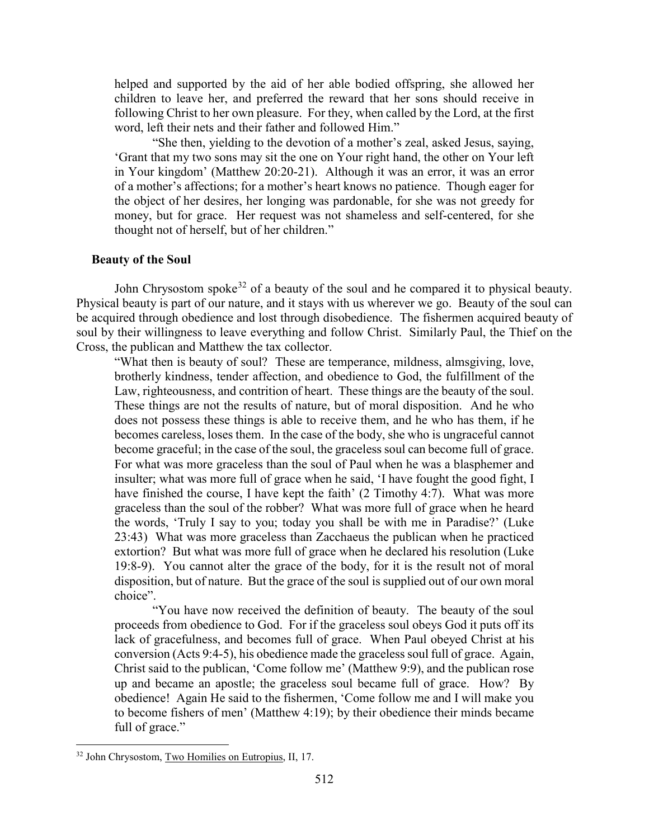helped and supported by the aid of her able bodied offspring, she allowed her children to leave her, and preferred the reward that her sons should receive in following Christ to her own pleasure. For they, when called by the Lord, at the first word, left their nets and their father and followed Him."

"She then, yielding to the devotion of a mother's zeal, asked Jesus, saying, 'Grant that my two sons may sit the one on Your right hand, the other on Your left in Your kingdom' (Matthew 20:20-21). Although it was an error, it was an error of a mother's affections; for a mother's heart knows no patience. Though eager for the object of her desires, her longing was pardonable, for she was not greedy for money, but for grace. Her request was not shameless and self-centered, for she thought not of herself, but of her children."

#### <span id="page-16-0"></span>**Beauty of the Soul**

John Chrysostom spoke<sup>[32](#page-16-1)</sup> of a beauty of the soul and he compared it to physical beauty. Physical beauty is part of our nature, and it stays with us wherever we go. Beauty of the soul can be acquired through obedience and lost through disobedience. The fishermen acquired beauty of soul by their willingness to leave everything and follow Christ. Similarly Paul, the Thief on the Cross, the publican and Matthew the tax collector.

"What then is beauty of soul? These are temperance, mildness, almsgiving, love, brotherly kindness, tender affection, and obedience to God, the fulfillment of the Law, righteousness, and contrition of heart. These things are the beauty of the soul. These things are not the results of nature, but of moral disposition. And he who does not possess these things is able to receive them, and he who has them, if he becomes careless, loses them. In the case of the body, she who is ungraceful cannot become graceful; in the case of the soul, the graceless soul can become full of grace. For what was more graceless than the soul of Paul when he was a blasphemer and insulter; what was more full of grace when he said, 'I have fought the good fight, I have finished the course, I have kept the faith' (2 Timothy 4:7). What was more graceless than the soul of the robber? What was more full of grace when he heard the words, 'Truly I say to you; today you shall be with me in Paradise?' (Luke 23:43) What was more graceless than Zacchaeus the publican when he practiced extortion? But what was more full of grace when he declared his resolution (Luke 19:8-9). You cannot alter the grace of the body, for it is the result not of moral disposition, but of nature. But the grace of the soul is supplied out of our own moral choice".

"You have now received the definition of beauty. The beauty of the soul proceeds from obedience to God. For if the graceless soul obeys God it puts off its lack of gracefulness, and becomes full of grace. When Paul obeyed Christ at his conversion (Acts 9:4-5), his obedience made the graceless soul full of grace. Again, Christ said to the publican, 'Come follow me' (Matthew 9:9), and the publican rose up and became an apostle; the graceless soul became full of grace. How? By obedience! Again He said to the fishermen, 'Come follow me and I will make you to become fishers of men' (Matthew 4:19); by their obedience their minds became full of grace."

<span id="page-16-1"></span> <sup>32</sup> John Chrysostom, Two Homilies on Eutropius, II, 17.